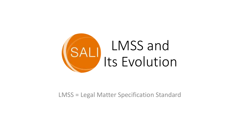

### LMSS = Legal Matter Specification Standard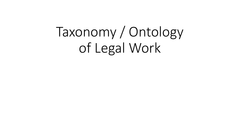# Taxonomy / Ontology of Legal Work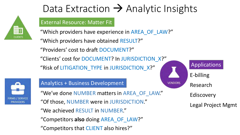

# Data Extraction  $\rightarrow$  Analytic Insights

### External Resource: Matter Fit

"Which providers have experience in AREA\_OF\_LAW?"

"Which providers have obtained RESULT?" "Providers' cost to draft DOCUMENT?"

"Clients' cost for DOCUMENT? In JURISDICTION\_X?"

"Risk of LITIGATION\_TYPE in JURISDICTION\_X?"



### Analytics + Business Development

"We've done NUMBER matters in AREA\_OF\_LAW." "We achieved RESULT in NUMBER." "Of those, NUMBER were in JURISDICTION." "Competitors **also** doing AREA\_OF\_LAW?" "Competitors that CLIENT also hires?"



E-billing

Research

**Ediscovery** 

Legal Project Mgmt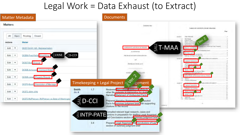### Legal Work = Data Exhaust (to Extract)

| <b>Matter Metadata</b>            |                                                                          |                                |     | <b>Documents</b>                                                                                                                       |                                                                                                                                                        |
|-----------------------------------|--------------------------------------------------------------------------|--------------------------------|-----|----------------------------------------------------------------------------------------------------------------------------------------|--------------------------------------------------------------------------------------------------------------------------------------------------------|
| <b>Matters</b>                    |                                                                          |                                |     | <b>Esecution Cran</b>                                                                                                                  | TABLE OF CONTENTS (TO BE UPDATED)                                                                                                                      |
| All<br>Open                       | Closed<br>Pending                                                        |                                |     |                                                                                                                                        | Page<br>THE SIERGER<br>Article 1                                                                                                                       |
| Actions                           | <b>Matter</b>                                                            |                                |     |                                                                                                                                        | The Mersen<br>1.3<br><b>Elfective Time</b><br>Effects of the Siles<br>Engineers of Sto                                                                 |
| Edit<br>$\boldsymbol{\mathrm{v}}$ | 00217-Smith: GR - Representation                                         |                                |     | <b>IVS</b><br>AGREEMENT AND PLAN OF MERGER                                                                                             | Shick Options and<br>self Att in !<br>T-MAA<br>and By-Laws of the Survivius Countary<br>Directors and Officer<br>DELIVERY OF:<br><b>RCONSIDERATION</b> |
| Edit<br>$\blacktriangledown$      | $\blacktriangle$ D-CCR<br>$\equiv$ CRIM<br>00366-Freshfields Shoplifting |                                |     | by and between<br>THE BEAR STEARNS COMPANIES INC.                                                                                      | Exclusion Agent<br>Delivery of Merger Counderston                                                                                                      |
| Edit<br>$\overline{\mathbf{v}}$   | 00367-Bob Divorce                                                        |                                |     | <b>Servi</b><br><b>JPMORGAN CHARE &amp; CO</b>                                                                                         | Article III<br><b>VARRANTIES DE COMPASS</b><br>Corporate Organization<br>33<br>3.3.<br>Authority, No Violation.<br>$31 +$<br>Circulas                  |
| Edit<br>$\overline{\mathbf{v}}$   | 00368-Ashwood<br>: Contract Matte                                        |                                |     | <b>DATED 4</b>                                                                                                                         | Repar<br><b>Central</b><br>Broker's Frey.<br>ail Adverse Effect<br>Compliance with Applicable Link                                                     |
| Edit<br>$\pmb{\mathrm{v}}$        | 00369-Jones Property Dispute                                             |                                |     |                                                                                                                                        | Broker-Dealer and howsment Advisory Matters<br>3.13. Орійня.                                                                                           |
| Edit<br>$\boldsymbol{\mathrm{v}}$ | <b>Dissolution of Marriage</b><br>00370-Boot                             |                                |     | $1e^{x}$<br>Timekeeping + Legal Project  <br>agement <sup>1</sup>                                                                      | 3.14 Сищиму інближать.<br><b><i>ARRANTIES OF PARENT</i></b><br><b>STREET ETSTEA TRIVER A</b><br>Article T<br>Corportiv Districtation                   |
| Edit<br>$\mathbf{v}$              | 00372-John: chhj                                                         | Smith<br>file #                | 1.7 | Reviewed depositions contracts affidavits<br>other file materials in preparation for drafti<br>Narrative Statement of Undisputed Facts | Authority: No Violation<br>4.3<br>Reports, Regular<br>Broker's Fees                                                                                    |
| Edit<br>$\blacktriangledown$      | 00373-McPherson: McPherson vs State of Washington                        | $\overline{\mathcal{Z}}$ D-CCI |     | Prepared Narrative Statement of Asputed                                                                                                | <b>Applicable Earn</b><br>49 Approvals<br>#10 Parent listorisatio                                                                                      |
|                                   |                                                                          |                                |     | Facts for summary judgment brief with supporting<br>ANTERIOR<br>citations to the record                                                |                                                                                                                                                        |
|                                   |                                                                          |                                |     | Compiled relevant legal research, cases and<br>THE PATE principle is preparation for drafting Legal Argument                           |                                                                                                                                                        |
|                                   |                                                                          |                                | 2.4 | nd Conclusions section of summary judgment brief                                                                                       |                                                                                                                                                        |
|                                   |                                                                          |                                |     | Prepared Legal Argument and Conclusions of Law<br>section of summary judgment brief                                                    |                                                                                                                                                        |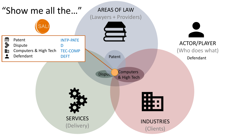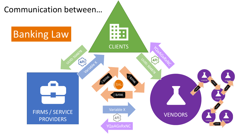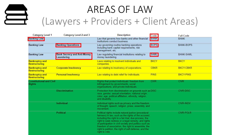

| <b>Category Level 1</b>                          | Category Level 2 and 3                           | <b>Description</b>                                                                                                                                                                                                                                                                                                                                                                                                     | Code        | <b>Full Code</b> |
|--------------------------------------------------|--------------------------------------------------|------------------------------------------------------------------------------------------------------------------------------------------------------------------------------------------------------------------------------------------------------------------------------------------------------------------------------------------------------------------------------------------------------------------------|-------------|------------------|
| <b>Banking Law</b>                               |                                                  | Law that governs how banks and other financial<br>institutions conduct business.                                                                                                                                                                                                                                                                                                                                       | <b>BANK</b> | <b>BANK</b>      |
| <b>Banking Law</b>                               | <b>Banking Operations</b>                        | Law governing routine banking operations<br>including bank capital requirements, risk<br>management, etc.                                                                                                                                                                                                                                                                                                              | <b>BOPS</b> | <b>BANK-BOPS</b> |
| <b>Banking Law</b>                               | <b>Bank Secrecy and Anti-Money</b><br>Laundering | Law regulating financial institutions relating to<br>money laundering.                                                                                                                                                                                                                                                                                                                                                 | <b>SAML</b> | <b>BANK-SAML</b> |
| <b>Bankruptcy and</b><br><b>Restructuring</b>    |                                                  | Laws relating to insolvent individuals and<br>companies.                                                                                                                                                                                                                                                                                                                                                               | <b>BKCY</b> | <b>BKCY</b>      |
| <b>Bankruptcy and</b><br><b>Restructuring</b>    | <b>Corporate Insolvency</b>                      | Law relating to insolvency of corporations.                                                                                                                                                                                                                                                                                                                                                                            | <b>CBKR</b> | <b>BKCY-CBKR</b> |
| <b>Bankruptcy and</b><br><b>Restructuring</b>    | <b>Personal Insolvency</b>                       | Law relating to debt relief for individuals.                                                                                                                                                                                                                                                                                                                                                                           | <b>PINS</b> | <b>BKCY-PINS</b> |
| <b>Constitutional and Civil</b><br><b>Rights</b> |                                                  | Rights that protect individuals' freedom from<br>infringement by governments, social<br>organizations, and private individuals.                                                                                                                                                                                                                                                                                        | <b>CIVR</b> | <b>CIVR</b>      |
|                                                  | <b>Discrimination</b>                            | Protection from discrimination on grounds such as DISC<br>race, gender, sexual orientation, national origin,<br>color, age, political affiliation, ethnicity, religion,<br>and disability.                                                                                                                                                                                                                             |             | <b>CIVR-DISC</b> |
|                                                  | Individual                                       | Individual rights such as privacy and the freedom<br>of thought, speech, religion, press, assembly, and<br>movement.                                                                                                                                                                                                                                                                                                   |             | <b>CIVR-INDV</b> |
|                                                  | Political                                        | Political rights include natural justice (procedural<br>fairness) in law, such as the rights of the accused,<br>including the right to a fair trial; due process; the<br>right to seek redress or a legal remedy; and rights<br>of participation in civil society and politics such as<br>freedom of association, the right to assemble, the<br>right to petition, the right of self-defense, and the<br>right to vote |             | <b>CIVR-POLR</b> |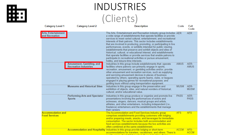# 駏

# INDUSTRIES (Clients)

| <b>Category Level 1</b><br><b>Category Level 2</b> |                                                          | <b>Description</b>                                                                                                                                                                                                                                                                                                                                                                                                                                                                                                                                                                                                                                                                                                                        | Code        | Full<br>Code        |
|----------------------------------------------------|----------------------------------------------------------|-------------------------------------------------------------------------------------------------------------------------------------------------------------------------------------------------------------------------------------------------------------------------------------------------------------------------------------------------------------------------------------------------------------------------------------------------------------------------------------------------------------------------------------------------------------------------------------------------------------------------------------------------------------------------------------------------------------------------------------------|-------------|---------------------|
| <b>Arts, Entertainment</b><br>and Recreation       |                                                          | The Arts, Entertainment and Recreation industry group includes AER<br>a wide range of establishments that operate facilities or provide<br>services to meet varied cultural, entertainment, and recreational<br>interests of their patrons. This sector includes establishments<br>that are involved in producing, promoting, or participating in live<br>performances, events, or exhibits intended for public viewing,<br>establishments that preserve and exhibit objects and sites of<br>historical, cultural, or educational interest; and establishments<br>that operate facilities or provide services that enable patrons to<br>participate in recreational activities or pursue amusement,<br>hobby, and leisure-time interests. |             | <b>AER</b>          |
|                                                    | Amusement, Gambling, and<br><b>Recreation Industries</b> | Industries in this group include establishments that: operate<br>facilities where patrons can primarily engage in sports,<br>recreation, amusement, or gambling activities and/or; provide<br>other amusement and recreation services, such as supplying<br>and servicing amusement devices in places of business<br>operated by others; operating sports teams, clubs, or leagues<br>engaged in playing games for recreational purposes; and<br>guiding tours without using transportation equipment.                                                                                                                                                                                                                                    | <b>AMUS</b> | AER-<br><b>AMUS</b> |
|                                                    | <b>Museums and Historical Sites</b>                      | Industries in this group engage in the preservation and<br>exhibition of objects, sites, and natural wonders of historical,<br>cultural, and/or educational value.                                                                                                                                                                                                                                                                                                                                                                                                                                                                                                                                                                        | <b>MUSM</b> | AER-<br><b>MUSM</b> |
|                                                    | <b>Performing Arts and Spectator</b><br><b>Sports</b>    | Industries in this group produce or organize and promote live<br>presentations involving the performances of actors and<br>actresses, singers, dancers, musical groups and artists,<br>athletes, and other entertainers, including independent (i.e.,<br>freelance) entertainers and the establishments that manage<br>their careers.                                                                                                                                                                                                                                                                                                                                                                                                     | <b>PASS</b> | AER-<br><b>PASS</b> |
| <b>Accommodation and</b><br><b>Food Services</b>   |                                                          | The Accommodation and Food Services industry group<br>comprises establishments providing customers with lodging<br>and/or preparing meals, snacks, and beverages for immediate<br>consumption. The sector includes both accommodation and<br>food services establishments because the two activities are<br>often combined at the same establishment.                                                                                                                                                                                                                                                                                                                                                                                     | <b>AFS</b>  | <b>AFS</b>          |
|                                                    |                                                          | Accommodation and Hospitality Industries in this group provide lodging or short-term<br>accommodations for travelers, vacationers, and others. There is                                                                                                                                                                                                                                                                                                                                                                                                                                                                                                                                                                                   | <b>ACCM</b> | AFS-<br><b>ACCM</b> |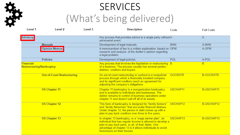

# **SERVICES** (What's being delivered)

| Level 1                                             | Level 2                           | Level 3 | <b>Description</b>                                                                                                                                                                                                                                                      | Code                 | <b>Full Code</b>  |
|-----------------------------------------------------|-----------------------------------|---------|-------------------------------------------------------------------------------------------------------------------------------------------------------------------------------------------------------------------------------------------------------------------------|----------------------|-------------------|
| <b>Advisory</b>                                     |                                   |         | Any process that provides advice to a single party without A<br>adversarial event.                                                                                                                                                                                      |                      | A                 |
|                                                     | <b>Manuals</b>                    |         | Development of legal manuals.                                                                                                                                                                                                                                           | <b>MAN</b>           | A-MAN             |
|                                                     | <b>Opinion Memos</b>              |         | A memorandum of law is a written explanation, based on OPM<br>research and analysis, of the drafter's opinion regarding<br>a legal problem.                                                                                                                             |                      | A-OPM             |
|                                                     | <b>Policies</b>                   |         | Development of legal policies.                                                                                                                                                                                                                                          | POL                  | A-POL             |
| <b>Financial</b><br><b>Restructuring/Bankruptcy</b> |                                   |         | Any process that involves the liquidation or restructuring B<br>of a business. The process usually has several parties -<br>debtors, creditors and buyers.                                                                                                              |                      | B.                |
|                                                     | <b>Out-of-Court Restructuring</b> |         | An out-of-court restructuring or workout is a nonjudicial<br>process through which a financially troubled company<br>and its significant creditors reach an agreement for<br>adjusting the company's obligations.                                                       | <b>OOCRSTR</b>       | <b>B-OOCRSTR</b>  |
|                                                     | <b>US Chapter 11</b>              |         | Chapter 11 bankruptcy is a reorganization bankruptcy,<br>and is available to individuals and businesses. The<br>debtor remains in control of business operations under<br>chapter 11 and doesn't sell off all of its assets.                                            | USCHAP11             | <b>B-USCHAP11</b> |
|                                                     | <b>US Chapter 12</b>              |         | This form of bankruptcy is designed for "family farmers"<br>and "family fisherman" that are under financial distress.<br>Under chapter 12, the person in debt comes up with a<br>plan to pay back creditors over three to five years.                                   | USCHAP12             | B-USCHAP12        |
|                                                     | <b>US Chapter 13</b>              |         | In chapter 13 bankruptcy, or a "wage earner plan", an<br>individual that has regular income is allowed to develop a<br>plan to pay back parts, or all, of their debts. One<br>advantage of chapter 13 is it allows individuals to avoid<br>foreclosure on their houses. | USCHAP <sub>13</sub> | B-USCHAP13        |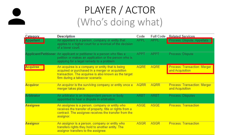# PLAYER / ACTOR (Who's doing what)

| Category        | <b>Description</b>                                                                                                                                                                | Code        | <b>Full Code</b> | <b>Related Services</b>                         |
|-----------------|-----------------------------------------------------------------------------------------------------------------------------------------------------------------------------------|-------------|------------------|-------------------------------------------------|
| Appellant       | An appellant is a person, company or entity that<br>applies to a higher court for a reversal of the decision.<br>of a lower court.                                                | <b>APPL</b> | <b>APPL</b>      | Process: Dispute: Appellate                     |
|                 | Applicant/Petitioner An applicant or petitioner is a person who files a<br>petition or makes an application or the person who is<br>applying for a legal remedy to a problem.     | <b>APPT</b> | <b>APPT</b>      | Process: Dispute                                |
| <b>Acquiree</b> | An acquiree is a company or entity that is being<br>acquired or purchased in a merger or acquisition                                                                              | <b>AQRE</b> | <b>AQRE</b>      | Process: Transaction: Merger<br>and Acquisition |
|                 | transaction. The acquiree is also known as the target<br>firm during a takeover scenario.                                                                                         |             |                  |                                                 |
| <b>Acquiror</b> | An acquiror is the surviving company or entity once a<br>merger takes place.                                                                                                      | <b>AQRR</b> | <b>AQRR</b>      | Process: Transaction: Merger<br>and Acquisition |
| Arbitrator      | An arbitrator is an independent person or body<br>appointed to hear a dispute in arbitration.                                                                                     | ARBT        | ARBT             | Process: Disputes                               |
| <b>Assignee</b> | An assignee is a person, company or entity who<br>receives the transfer of property, title or rights from a<br>contract. The assignee receives the transfer from the<br>assignor. | ASGE        | ASGE             | <b>Process: Transaction</b>                     |
| <b>Assignor</b> | An assignor is a person, company or entity who<br>transfers rights they hold to another entity. The<br>assignor transfers to the assignee.                                        | ASGR        | <b>ASGR</b>      | <b>Process: Transaction</b>                     |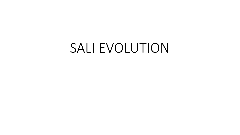# SALI EVOLUTION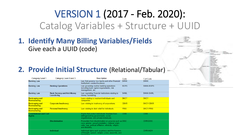# VERSION 1 (2017 - Feb. 2020): Catalog Variables + Structure + UUID

**1. Identify Many Billing Variables/Fields** Give each a UUID (code)

### **2. Provide Initial Structure (Relational/Tabular) -**

| <b>Category Level 1</b>                       | Category Level 2 and 3                           | <b>Description</b>                                                                                                                                                                         | Code        | <b>Full Code</b> |
|-----------------------------------------------|--------------------------------------------------|--------------------------------------------------------------------------------------------------------------------------------------------------------------------------------------------|-------------|------------------|
| <b>Banking Law</b>                            |                                                  | Law that governs how banks and other financial<br>institutions conduct business.                                                                                                           | <b>BANK</b> | <b>BANK</b>      |
| <b>Banking Law</b>                            | <b>Banking Operations</b>                        | Law governing routine banking operations<br>including bank capital requirements, risk<br>management, etc.                                                                                  | <b>BOPS</b> | <b>BANK-BOPS</b> |
| <b>Banking Law</b>                            | <b>Bank Secrecy and Anti-Money</b><br>Laundering | Law regulating financial institutions relating to<br>money laundering.                                                                                                                     | <b>SAML</b> | <b>BANK-SAML</b> |
| <b>Bankruptcy and</b><br><b>Restructuring</b> |                                                  | Laws relating to insolvent individuals and<br>companies.                                                                                                                                   | <b>BKCY</b> | <b>BKCY</b>      |
| <b>Bankruptcy and</b><br><b>Restructuring</b> | <b>Corporate Insolvency</b>                      | Law relating to insolvency of corporations.                                                                                                                                                | <b>CBKR</b> | <b>BKCY-CBKR</b> |
| <b>Bankruptcy and</b><br><b>Restructuring</b> | <b>Personal Insolvency</b>                       | Law relating to debt relief for individuals.                                                                                                                                               | <b>PINS</b> | <b>BKCY-PINS</b> |
| <b>Constitutional and Civil</b><br>Rights     |                                                  | Rights that protect individuals' freedom from<br>infringement by governments, social<br>organizations, and private individuals.                                                            | <b>CIVR</b> | <b>CIVR</b>      |
|                                               | <b>Discrimination</b>                            | Protection from discrimination on grounds such as DISC<br>race, gender, sexual orientation, national origin,<br>color, age, political affiliation, ethnicity, religion,<br>and disability. |             | <b>CIVR-DISC</b> |
|                                               | Individual                                       | Individual rights such as privacy and the freedom<br>of thought, speech, religion, press, assembly, and<br>movomont                                                                        |             | CIVR-INDV        |

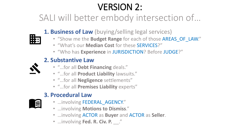# VERSION 2:

SALI will better embody intersection of…



- **1. Business of Law** (buying/selling legal services)
	- "Show me the **Budget Range** for each of those AREAS\_OF\_LAW."
	- "What's our **Median Cost** for these SERVICES?"
	- "Who has **Experience** in JURISDICTION? Before JUDGE?"

### **2. Substantive Law**

- "…for all **Debt Financing** deals."
- "…for all **Product Liability** lawsuits."
- "…for all **Negligence** settlements"
- "…for all **Premises Liability** experts"

### **3. Procedural Law**

- E
- …involving FEDERAL\_AGENCY."
- …involving **Motions to Dismiss**."
- …involving ACTOR as **Buyer** and ACTOR as **Seller**.
- …involving **Fed. R. Civ. P.** \_\_."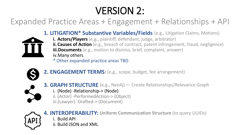# VERSION 2:

### Expanded Practice Areas + Engagement + Relationships + API



- **1. LITIGATION\* Substantive Variables/Fields** (e.g., Litigation Claims, Motions)
	- **i. Actors/Players** (e.g., plaintiff, defendant, judge, arbitrator)
	- **ii. Causes of Action** (e.g., breach of contract, patent infringement, fraud, negligence) **iii.Documents** (e.g., motion to dismiss, brief, complaint, answer) iv.Many others

\* Other expanded practice areas TBD



- **2. ENGAGEMENT TERMS**: (e.g., scope, budget, fee arrangement)
- **3. GRAPH STRUCTURE** (e.g., Neo4j) Create Relationships/Relevance Graph i. (Node) -Relationship-> (Node) ii. (Actor) -PerformedAction-> (Object)
	- iii.(Lawyer) -Drafted-> (Document)



**4. INTEROPERABILITY: Uniform Communication Structure** (to query UUIDs)

- i. Build API
- ii. Build JSON and XML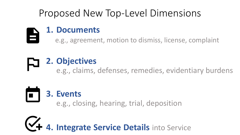## Proposed New Top-Level Dimensions

### **1. Documents**

e.g., agreement, motion to dismiss, license, complaint

# **2. Objectives**

e.g., claims, defenses, remedies, evidentiary burdens

# **3. Events**

e.g., closing, hearing, trial, deposition

**4. Integrate Service Details** into Service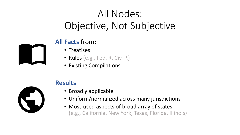# All Nodes: Objective, Not Subjective



### **All Facts** from:

- Treatises
- Rules (e.g., Fed. R. Civ. P.)
- Existing Compilations

### **Results**

- Broadly applicable
- Uniform/normalized across many jurisdictions
- Most-used aspects of broad array of states (e.g., California, New York, Texas, Florida, Illinois)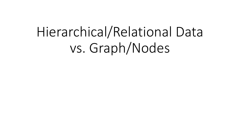# Hierarchical/Relational Data vs. Graph/Nodes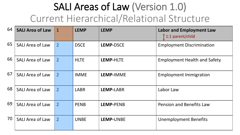# SALI Areas of Law (Version 1.0) Current Hierarchical/Relational Structure

| 64 | <b>SALI Area of Law</b> | $\mathbf{1}$   | <b>LEMP</b> | <b>LEMP</b>      | <b>Labor and Employment Law</b><br>1:1 parent/child |
|----|-------------------------|----------------|-------------|------------------|-----------------------------------------------------|
| 65 | <b>SALI Area of Law</b> | $\overline{2}$ | <b>DSCE</b> | <b>LEMP-DSCE</b> | <b>Employment Discrimination</b>                    |
| 66 | <b>SALI Area of Law</b> | $\overline{2}$ | <b>HLTE</b> | <b>LEMP-HLTE</b> | <b>Employment Health and Safety</b>                 |
| 67 | <b>SALI Area of Law</b> | $\overline{2}$ | <b>IMME</b> | LEMP-IMME        | <b>Employment Immigration</b>                       |
| 68 | <b>SALI Area of Law</b> | $\overline{2}$ | <b>LABR</b> | LEMP-LABR        | Labor Law                                           |
| 69 | <b>SALI Area of Law</b> | $\overline{2}$ | <b>PENB</b> | LEMP-PENB        | <b>Pension and Benefits Law</b>                     |
| 70 | <b>SALI Area of Law</b> | $\overline{2}$ | <b>UNBE</b> | LEMP-UNBE        | <b>Unemployment Benefits</b>                        |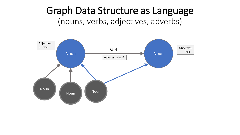### Graph Data Structure as Language (nouns, verbs, adjectives, adverbs)

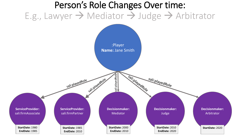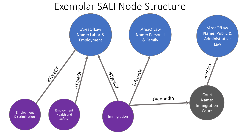### Exemplar SALI Node Structure

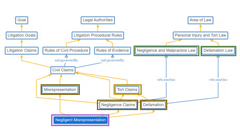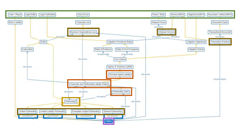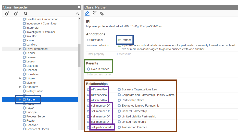### **Class Hierarchy**

#### $o^*$  $o^x$  $\alpha$

Health Care Ombudsman

O Independent Committee

**O** Interpreter

O Investigator / Examiner

**O** Investor

**O** Issuer

**O** Landlord

 $\blacktriangleright$   $\bigcirc$  Law Enforcement

**O** Lender

**O** Lessee

**O** Lessor

**O** Licensee

**O** Licensor

**O** Liquidator

 $\blacktriangleright$   $\bigcirc$  Litigant **O** Monitor

 $\blacktriangleright$  **O** Nonparty O Notary Public

**B** Desert  $\blacktriangleright$   $\bigcirc$  Partner

 $\bigcap_{n\geq 0}$ 

**O** Payor

**O** Principal

**O** Process Server

**O** Realtor

**O** Receiver

Register of Deeds

### **Class: Partner**

### $25.5$

### IRI

 $\boldsymbol{\mathsf{x}}$ 

机  $\blacktriangle$ 

http://webprotege.stanford.edu/R9oT1uDgFl2wSjoa358Wowx

| <b>Annotations</b>                                     |                                                                                                                                                                                |  |
|--------------------------------------------------------|--------------------------------------------------------------------------------------------------------------------------------------------------------------------------------|--|
| ⊕ rdfs:label                                           | 底 Partner                                                                                                                                                                      |  |
| • skos: definition                                     | $\equiv$ , A partner is an individual who is a member of a partnership - an entity formed when at least<br>two or more individuals agree to go into business with one another. |  |
| <b>Enter property</b>                                  | <b>Enter value</b>                                                                                                                                                             |  |
| <b>Parents</b><br>Role in Matter<br>Enter a class name |                                                                                                                                                                                |  |
| <b>Relationships</b>                                   |                                                                                                                                                                                |  |
| rdfs:seeAlso                                           | <b>O</b> Business Organizations Law                                                                                                                                            |  |
| rdfs:seeAlso                                           | Corporate and Partnership Liability Claims                                                                                                                                     |  |
| rdfs:seeAlso                                           | <b>O</b> Partnership Claim                                                                                                                                                     |  |
| sali:memberOf                                          | ◯ Exempted Limited Partnership                                                                                                                                                 |  |
| sali:memberOf                                          | General Partnership<br>O                                                                                                                                                       |  |
| sali:memberOf                                          | <b>Limited Liability Partnership</b><br>О                                                                                                                                      |  |
| sali:memberOf                                          | <b>Limited Partnership</b><br>O                                                                                                                                                |  |
| sali:participatedIn                                    | <b>Transaction Practice</b><br>Ω                                                                                                                                               |  |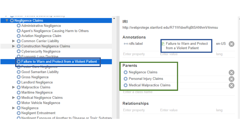#### O Negligence Claims

- Administrative Negligence
- Agent's Negligence Causing Harm to Others
- Aviation Negligence Claim
- Common Carrier Liability ▶
- Construction Negligence Claims  $\blacktriangleright$ 
	- Cybersecurity Negligence
	- C Economic Loss Doctrine
	- **C** Failure to Warn and Protect from a Violent Patient
	- <mark>O Foster Care Negligence</mark>
	- ◯ Good Samaritan Liability
	- **O** Gross Negligence
	- **O** Landlord Negligence
- **O** Malpractice Claims
	- Maritime Negligence
- ▶ Medical Negligence Claims Motor Vehicle Negligence
- O Negligence  $\blacktriangleright$ 
	- Regligent Entrustment
	- Negligent Exposure of Another to Disease or Toxic Substand

### IRI

http://webprotege.stanford.edu/R71WIdxeRqBtSANhmV4nmsu

| <b>Annotations</b>                |                    |                                                                    |      |  |
|-----------------------------------|--------------------|--------------------------------------------------------------------|------|--|
| e-ordfs:label                     |                    | $\mathbb{H}$ Failure to Warn and Protect<br>from a Violent Patient |      |  |
| <b>Enter property</b>             | <b>Enter value</b> |                                                                    | lang |  |
|                                   |                    |                                                                    |      |  |
| <b>Parents</b>                    |                    |                                                                    |      |  |
| ◯ Negligence Claims               |                    |                                                                    |      |  |
| <b>O</b> Personal Injury Claims   |                    |                                                                    |      |  |
| <b>Medical Malpractice Claims</b> |                    |                                                                    |      |  |
| Enter a class name                |                    |                                                                    |      |  |
| .                                 |                    |                                                                    |      |  |

### **Relationships**

| <b>Enter property</b> | <b>Enter value</b> | lang |
|-----------------------|--------------------|------|
|                       |                    |      |